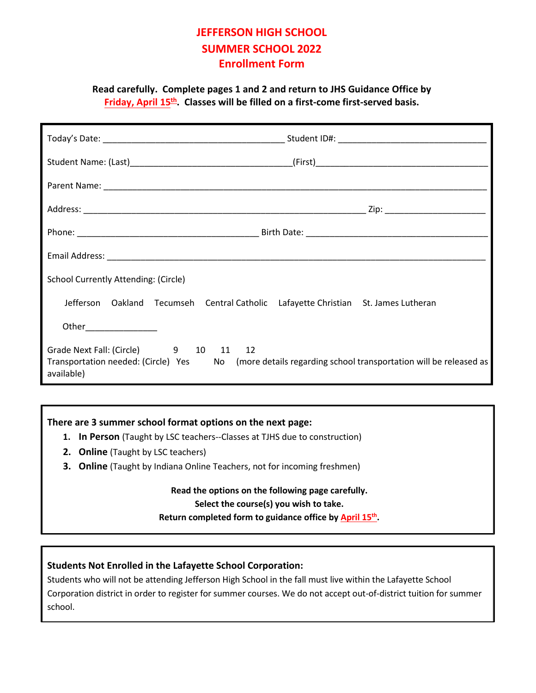# **JEFFERSON HIGH SCHOOL SUMMER SCHOOL 2022 Enrollment Form**

**Read carefully. Complete pages 1 and 2 and return to JHS Guidance Office by Friday, April 15th . Classes will be filled on a first-come first-served basis.** 

| <b>School Currently Attending: (Circle)</b>                                                                                                                    |                                                                                    |  |
|----------------------------------------------------------------------------------------------------------------------------------------------------------------|------------------------------------------------------------------------------------|--|
|                                                                                                                                                                | Jefferson Oakland Tecumseh Central Catholic Lafayette Christian St. James Lutheran |  |
| Other________________                                                                                                                                          |                                                                                    |  |
| Grade Next Fall: (Circle) 9 10 11 12<br>Transportation needed: (Circle) Yes No (more details regarding school transportation will be released as<br>available) |                                                                                    |  |

## **There are 3 summer school format options on the next page:**

- **1. In Person** (Taught by LSC teachers--Classes at TJHS due to construction)
- **2. Online** (Taught by LSC teachers)
- **3. Online** (Taught by Indiana Online Teachers, not for incoming freshmen)

### **Read the options on the following page carefully.**

### **Select the course(s) you wish to take.**

**Return completed form to guidance office by April 15th.** 

# **Students Not Enrolled in the Lafayette School Corporation:**

Students who will not be attending Jefferson High School in the fall must live within the Lafayette School Corporation district in order to register for summer courses. We do not accept out-of-district tuition for summer school.